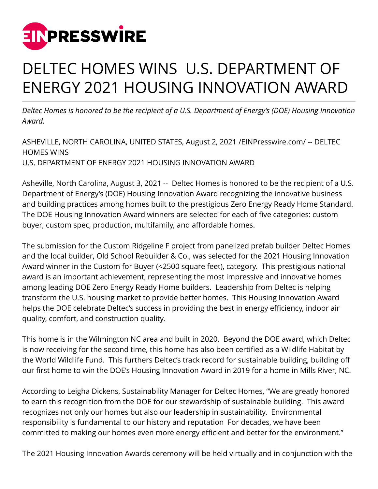

## DELTEC HOMES WINS U.S. DEPARTMENT OF ENERGY 2021 HOUSING INNOVATION AWARD

*Deltec Homes is honored to be the recipient of a U.S. Department of Energy's (DOE) Housing Innovation Award.* 

ASHEVILLE, NORTH CAROLINA, UNITED STATES, August 2, 2021 /[EINPresswire.com](http://www.einpresswire.com)/ -- DELTEC HOMES WINS U.S. DEPARTMENT OF ENERGY 2021 HOUSING INNOVATION AWARD

Asheville, North Carolina, August 3, 2021 -- Deltec Homes is honored to be the recipient of a U.S. Department of Energy's (DOE) Housing Innovation Award recognizing the innovative business and building practices among homes built to the prestigious Zero Energy Ready Home Standard. The DOE Housing Innovation Award winners are selected for each of five categories: custom buyer, custom spec, production, multifamily, and affordable homes.

The submission for the Custom Ridgeline F project from panelized prefab builder Deltec Homes and the local builder, Old School Rebuilder & Co., was selected for the 2021 Housing Innovation Award winner in the Custom for Buyer (<2500 square feet), category. This prestigious national award is an important achievement, representing the most impressive and innovative homes among leading DOE Zero Energy Ready Home builders. Leadership from Deltec is helping transform the U.S. housing market to provide better homes. This Housing Innovation Award helps the DOE celebrate Deltec's success in providing the best in energy efficiency, indoor air quality, comfort, and construction quality.

This home is in the Wilmington NC area and built in 2020. Beyond the DOE award, which Deltec is now receiving for the second time, this home has also been certified as a Wildlife Habitat by the World Wildlife Fund. This furthers Deltec's track record for sustainable building, building off our first home to win the DOE's Housing Innovation Award in 2019 for a home in Mills River, NC.

According to Leigha Dickens, Sustainability Manager for Deltec Homes, "We are greatly honored to earn this recognition from the DOE for our stewardship of sustainable building. This award recognizes not only our homes but also our leadership in sustainability. Environmental responsibility is fundamental to our history and reputation For decades, we have been committed to making our homes even more energy efficient and better for the environment."

The 2021 Housing Innovation Awards ceremony will be held virtually and in conjunction with the